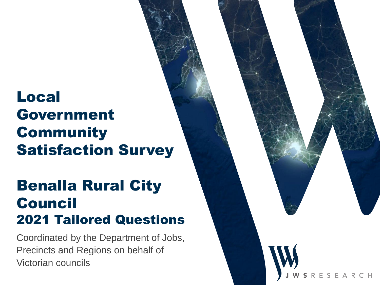# Local Government **Community** Satisfaction Survey

# Benalla Rural City Council 2021 Tailored Questions

Coordinated by the Department of Jobs, Precincts and Regions on behalf of Victorian councils

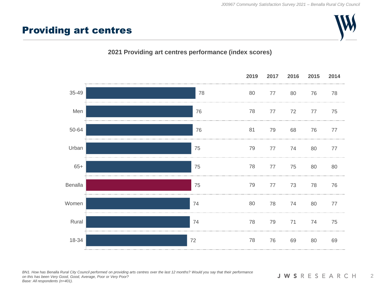#### Providing art centres

#### **2021 Providing art centres performance (index scores)**



*BN1. How has Benalla Rural City Council performed on providing arts centres over the last 12 months? Would you say that their performance on this has been Very Good, Good, Average, Poor or Very Poor? Base: All respondents (n=401).*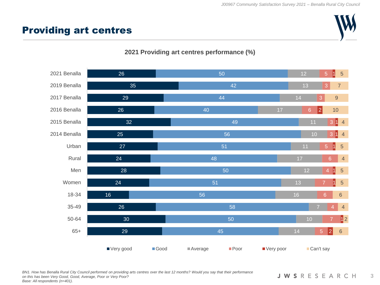## Providing art centres







*BN1. How has Benalla Rural City Council performed on providing arts centres over the last 12 months? Would you say that their performance on this has been Very Good, Good, Average, Poor or Very Poor? Base: All respondents (n=401).*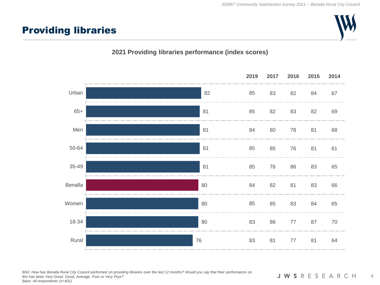## Providing libraries

#### **2021 Providing libraries performance (index scores)**



*BN2. How has Benalla Rural City Council performed on providing libraries over the last 12 months? Would you say that their performance on this has been Very Good, Good, Average, Poor or Very Poor? Base: All respondents (n=401).*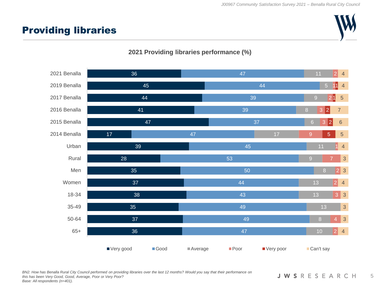## Providing libraries







*BN2. How has Benalla Rural City Council performed on providing libraries over the last 12 months? Would you say that their performance on this has been Very Good, Good, Average, Poor or Very Poor? Base: All respondents (n=401).*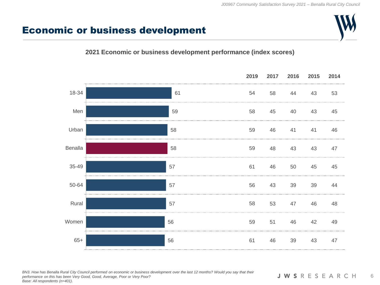#### Economic or business development

#### **2021 Economic or business development performance (index scores)**



*BN3. How has Benalla Rural City Council performed on economic or business development over the last 12 months? Would you say that their performance on this has been Very Good, Good, Average, Poor or Very Poor? Base: All respondents (n=401).*

**JWSRESEARCH** 6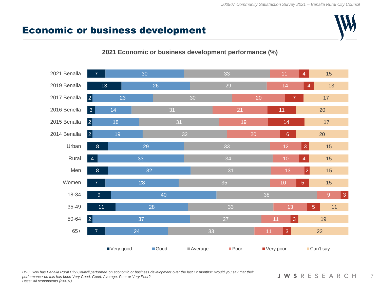## Economic or business development



#### **2021 Economic or business development performance (%)**

*BN3. How has Benalla Rural City Council performed on economic or business development over the last 12 months? Would you say that their performance on this has been Very Good, Good, Average, Poor or Very Poor? Base: All respondents (n=401).*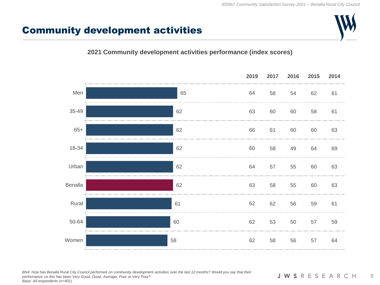## Community development activities

#### **2021 Community development activities performance (index scores)**



*BN4. How has Benalla Rural City Council performed on community development activities over the last 12 months? Would you say that their performance on this has been Very Good, Good, Average, Poor or Very Poor? Base: All respondents (n=401).*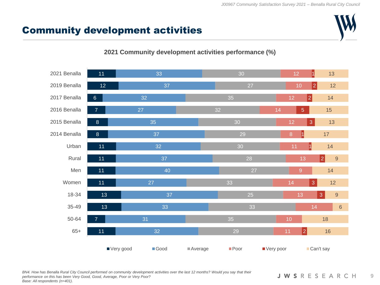## Community development activities



#### **2021 Community development activities performance (%)**

*BN4. How has Benalla Rural City Council performed on community development activities over the last 12 months? Would you say that their performance on this has been Very Good, Good, Average, Poor or Very Poor? Base: All respondents (n=401).*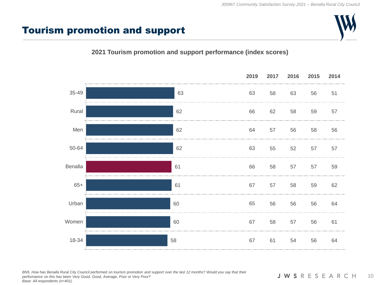### Tourism promotion and support

#### **2021 Tourism promotion and support performance (index scores)**



*BN5. How has Benalla Rural City Council performed on tourism promotion and support over the last 12 months? Would you say that their performance on this has been Very Good, Good, Average, Poor or Very Poor? Base: All respondents (n=401).*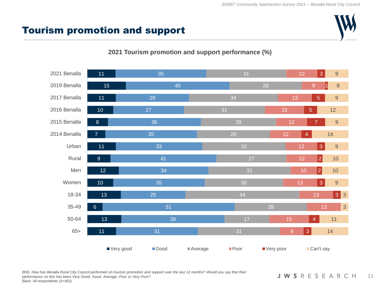## Tourism promotion and support



#### **2021 Tourism promotion and support performance (%)**

*BN5. How has Benalla Rural City Council performed on tourism promotion and support over the last 12 months? Would you say that their performance on this has been Very Good, Good, Average, Poor or Very Poor? Base: All respondents (n=401).*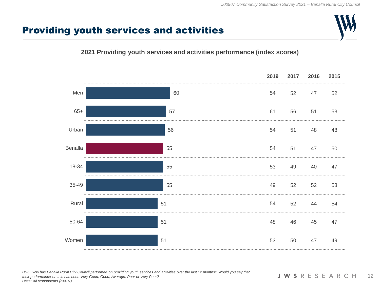## Providing youth services and activities

#### **2021 Providing youth services and activities performance (index scores)**



*BN6. How has Benalla Rural City Council performed on providing youth services and activities over the last 12 months? Would you say that their performance on this has been Very Good, Good, Average, Poor or Very Poor? Base: All respondents (n=401).*

**JWSRESEARCH** 12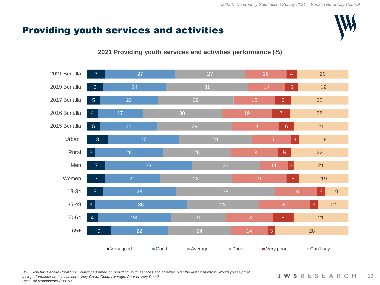## Providing youth services and activities



#### **2021 Providing youth services and activities performance (%)**

*BN6. How has Benalla Rural City Council performed on providing youth services and activities over the last 12 months? Would you say that their performance on this has been Very Good, Good, Average, Poor or Very Poor? Base: All respondents (n=401).*